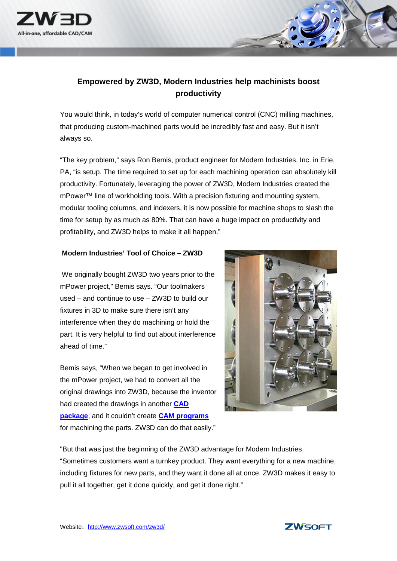

## **Empowered by ZW3D, Modern Industries help machinists boost productivity**

You would think, in today's world of computer numerical control (CNC) milling machines, that producing custom-machined parts would be incredibly fast and easy. But it isn't always so.

"The key problem," says Ron Bemis, product engineer for Modern Industries, Inc. in Erie, PA, "is setup. The time required to set up for each machining operation can absolutely kill productivity. Fortunately, leveraging the power of ZW3D, Modern Industries created the mPower™ line of workholding tools. With a precision fixturing and mounting system, modular tooling columns, and indexers, it is now possible for machine shops to slash the time for setup by as much as 80%. That can have a huge impact on productivity and profitability, and ZW3D helps to make it all happen."

## **Modern Industries' Tool of Choice – ZW3D**

We originally bought ZW3D two years prior to the mPower project," Bemis says. "Our toolmakers used – and continue to use – ZW3D to build our fixtures in 3D to make sure there isn't any interference when they do machining or hold the part. It is very helpful to find out about interference ahead of time."

Bemis says, "When we began to get involved in the mPower project, we had to convert all the original drawings into ZW3D, because the inventor had created the drawings in another **[CAD](http://www.zwsoft.com/)  [package](http://www.zwsoft.com/)**, and it couldn't create **[CAM programs](http://www.zwsoft.com/)** for machining the parts. ZW3D can do that easily."



"But that was just the beginning of the ZW3D advantage for Modern Industries. "Sometimes customers want a turnkey product. They want everything for a new machine, including fixtures for new parts, and they want it done all at once. ZW3D makes it easy to pull it all together, get it done quickly, and get it done right."